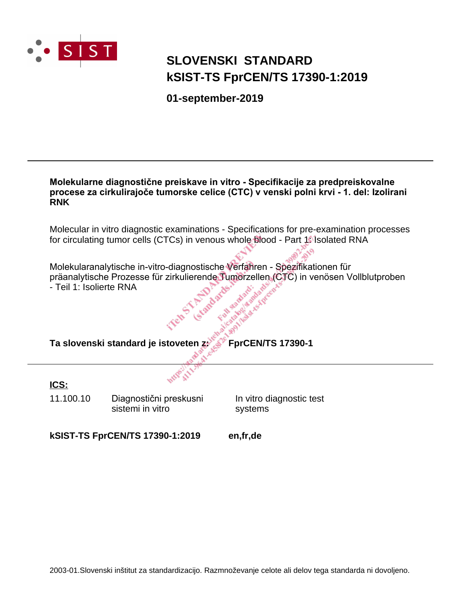

# **SLOVENSKI STANDARD kSIST-TS FprCEN/TS 17390-1:2019**

**01-september-2019**

#### **Molekularne diagnostične preiskave in vitro - Specifikacije za predpreiskovalne procese za cirkulirajoče tumorske celice (CTC) v venski polni krvi - 1. del: Izolirani RNK**

Molecular in vitro [diagnostic examinations - Specifications for pre-examin](@Z�C.9������Q
�ǌݏ$X���I�|��$8�P)ation processes for circulating tumor cells (CTCs) in venous whole blood - Part 1: Isolated RNA

Molekularanalytische in-vitro-diagnostische Verfahren - Spezifikationen für präanalytische Prozesse für zirkulierende Tumorzellen (CTC) in venösen Vollblutproben - Teil 1: Isolierte RNA

**Ta slovenski standard je istoveten z: FprCEN/TS 17390-1**

## **ICS:**

11.100.10 Diagnostični preskusni sistemi in vitro

In vitro diagnostic test systems

**kSIST-TS FprCEN/TS 17390-1:2019 en,fr,de**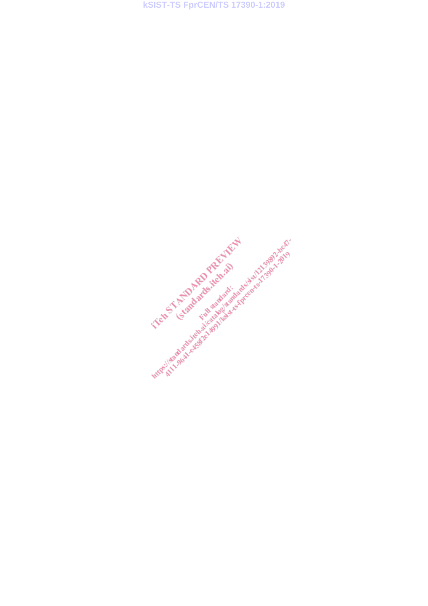Interest Library Research and Manufacture of the Art of September 2014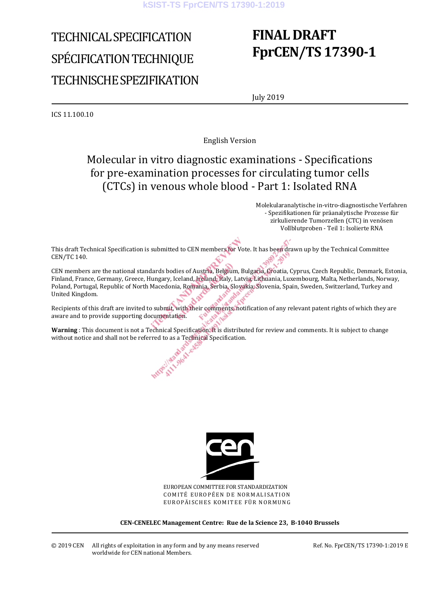# TECHNICAL SPECIFICATION SPÉCIFICATION TECHNIQUE TECHNISCHE SPEZIFIKATION

# **FINAL DRAFT FprCEN/TS 17390-1**

July 2019

ICS 11.100.10

English Version

## Molecular in vitro diagnostic examinations - Specifications for pre-examination processes for circulating tumor cells (CTCs) in venous whole blood - Part 1: Isolated RNA

 Molekularanalytische in-vitro-diagnostische Verfahren - Spezifikationen für präanalytische Prozesse für zirkulierende Tumorzellen (CTC) in venösen Vollblutproben - Teil 1: Isolierte RNA

This draft Technical S[\(\]L���&3��Ai��2���Q~��pecification is submitted to CEN members for Vote. It has been drawn up by](o��F�ϜGyT��+&F�h v\\3�>U6�X_87���D;߇B-?�w|#��/�D:��L�F�z���Ȅ�*�) the Technical Committee CEN/TC 140.

CEN members are the national standards bodies of Austria, Belgium, Bulgaria, Croatia, Cyprus, Czech Republic, Denmark, Estonia, Finland, France, Germany, Greece, Hungary, Iceland, Ireland, Italy, Latvia, Lithuania, Luxembourg, Malta, Netherlands, Norway, Poland, Portugal, Republic of North Macedonia, Romania, Serbia, Slovakia, Slovenia, Spain, Sweden, Switzerland, Turkey and United Kingdom.

Recipients of this draft are invited to submit, with their comments, notification of any relevant patent rights of which they are aware and to provide supporting documentation.

**Warning** : This document is not a Technical Specification. It is distributed for review and comments. It is subject to change without notice and shall not be referred to as a Technical Specification.



EUROPEAN COMMITTEE FOR STANDARDIZATION COMITÉ EUROPÉEN DE NORMALISATION EUROPÄISCHES KOMITEE FÜR NORMUNG

**CEN-CENELEC Management Centre: Rue de la Science 23, B-1040 Brussels** 

INTERNATIONAL

Ref. No. FprCEN/TS 17390-1:2019 E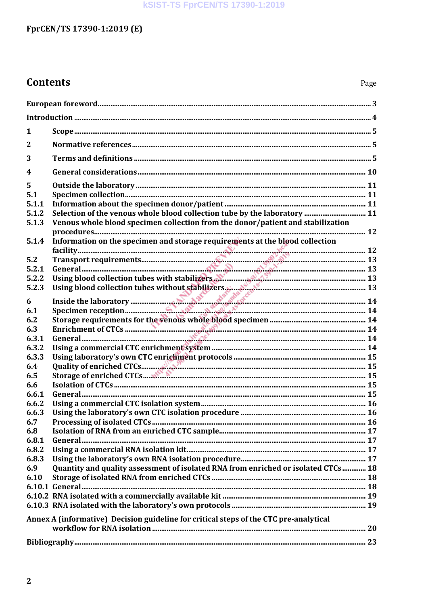## FprCEN/TS 17390-1:2019 (E)

# **Contents**

| 1                                                                                     |                                                                                                                                                                                                                                                                                                    |  |
|---------------------------------------------------------------------------------------|----------------------------------------------------------------------------------------------------------------------------------------------------------------------------------------------------------------------------------------------------------------------------------------------------|--|
| $\overline{2}$                                                                        |                                                                                                                                                                                                                                                                                                    |  |
| 3                                                                                     |                                                                                                                                                                                                                                                                                                    |  |
| 4                                                                                     |                                                                                                                                                                                                                                                                                                    |  |
| 5                                                                                     |                                                                                                                                                                                                                                                                                                    |  |
| 5.1                                                                                   |                                                                                                                                                                                                                                                                                                    |  |
| 5.1.1                                                                                 |                                                                                                                                                                                                                                                                                                    |  |
| 5.1.2                                                                                 |                                                                                                                                                                                                                                                                                                    |  |
| 5.1.3                                                                                 | Venous whole blood specimen collection from the donor/patient and stabilization                                                                                                                                                                                                                    |  |
|                                                                                       |                                                                                                                                                                                                                                                                                                    |  |
| 5.1.4                                                                                 | Information on the specimen and storage requirements at the blood collection                                                                                                                                                                                                                       |  |
|                                                                                       |                                                                                                                                                                                                                                                                                                    |  |
| 5.2                                                                                   |                                                                                                                                                                                                                                                                                                    |  |
| 5.2.1                                                                                 | General $\mathbb{R}$ and $\mathbb{R}$ and $\mathbb{R}$ and $\mathbb{R}$ and $\mathbb{R}$ and $\mathbb{R}$ and $\mathbb{R}$ and $\mathbb{R}$ and $\mathbb{R}$ and $\mathbb{R}$ and $\mathbb{R}$ and $\mathbb{R}$ and $\mathbb{R}$ and $\mathbb{R}$ and $\mathbb{R}$ and $\mathbb{R}$ and $\mathbb{$ |  |
| 5.2.2                                                                                 | Using blood collection tubes with stabilizers. And a state of the state of the 13                                                                                                                                                                                                                  |  |
| 5.2.3                                                                                 |                                                                                                                                                                                                                                                                                                    |  |
|                                                                                       |                                                                                                                                                                                                                                                                                                    |  |
| 6                                                                                     |                                                                                                                                                                                                                                                                                                    |  |
| 6.1                                                                                   |                                                                                                                                                                                                                                                                                                    |  |
| 6.2                                                                                   |                                                                                                                                                                                                                                                                                                    |  |
| 6.3                                                                                   |                                                                                                                                                                                                                                                                                                    |  |
| 6.3.1                                                                                 |                                                                                                                                                                                                                                                                                                    |  |
| 6.3.2                                                                                 |                                                                                                                                                                                                                                                                                                    |  |
| 6.3.3                                                                                 |                                                                                                                                                                                                                                                                                                    |  |
| 6.4                                                                                   |                                                                                                                                                                                                                                                                                                    |  |
| 6.5                                                                                   |                                                                                                                                                                                                                                                                                                    |  |
| 6.6                                                                                   |                                                                                                                                                                                                                                                                                                    |  |
| 6.6.1                                                                                 |                                                                                                                                                                                                                                                                                                    |  |
| 6.6.2                                                                                 |                                                                                                                                                                                                                                                                                                    |  |
| 6.6.3                                                                                 |                                                                                                                                                                                                                                                                                                    |  |
| 6.7                                                                                   |                                                                                                                                                                                                                                                                                                    |  |
| 6.8                                                                                   |                                                                                                                                                                                                                                                                                                    |  |
| 6.8.1                                                                                 |                                                                                                                                                                                                                                                                                                    |  |
| 6.8.2                                                                                 |                                                                                                                                                                                                                                                                                                    |  |
| 6.8.3                                                                                 |                                                                                                                                                                                                                                                                                                    |  |
| 6.9                                                                                   | Quantity and quality assessment of isolated RNA from enriched or isolated CTCs 18                                                                                                                                                                                                                  |  |
| 6.10                                                                                  |                                                                                                                                                                                                                                                                                                    |  |
|                                                                                       |                                                                                                                                                                                                                                                                                                    |  |
|                                                                                       |                                                                                                                                                                                                                                                                                                    |  |
|                                                                                       |                                                                                                                                                                                                                                                                                                    |  |
|                                                                                       |                                                                                                                                                                                                                                                                                                    |  |
| Annex A (informative) Decision guideline for critical steps of the CTC pre-analytical |                                                                                                                                                                                                                                                                                                    |  |
|                                                                                       |                                                                                                                                                                                                                                                                                                    |  |
|                                                                                       |                                                                                                                                                                                                                                                                                                    |  |
|                                                                                       |                                                                                                                                                                                                                                                                                                    |  |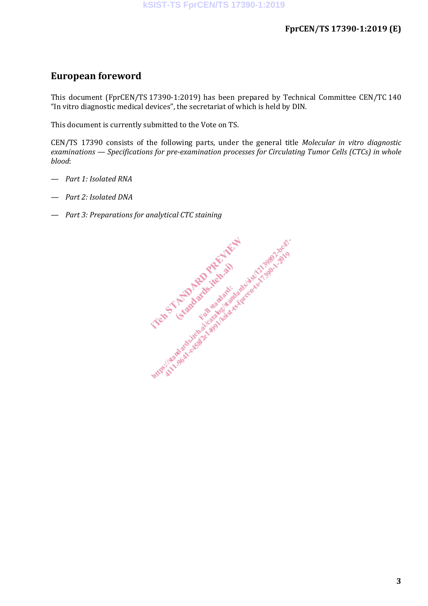## **European foreword**

This document (FprCEN/TS 17390-1:2019) has been prepared by Technical Committee CEN/TC 140 "In vitro diagnostic medical devices", the secretariat of which is held by DIN.

This document is currently submitted to the Vote on TS.

CEN/TS 17390 consists of the following parts, under the general title *Molecular in vitro diagnostic examinations — Specifications for pre-examination processes for Circulating Tumor Cells (CTCs) in whole blood*:

- *Part 1: Isolated RNA*
- 
- *Part 3: Prepa[rations for analytical CTC staining](I
���".}��+�]B���cﰽK߯�`�Ӓ���[r&:�Xa�?t?S��4!�|W(hgP�������f/1)�d�����©�V�i�h�);�s3>M�R�*��aY5p�	��)*

- Part 3: Preparations for analytical CTC staining<br>- Part 3: Preparations for analytical CTC staining<br>- Report of the state of the state of the state of the state of the state of the state of the state of the state of the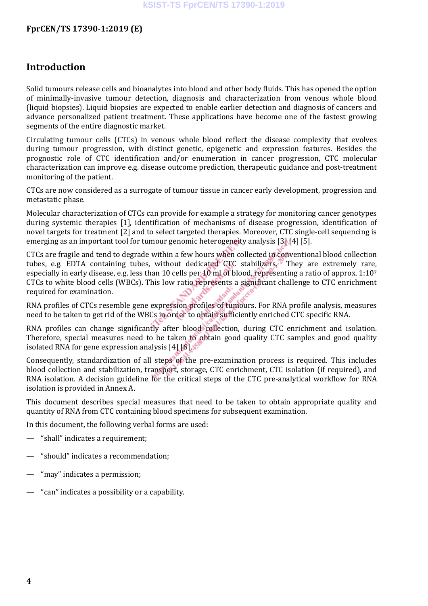## **Introduction**

Solid tumours release cells and bioanalytes into blood and other body fluids. This has opened the option of minimally-invasive tumour detection, diagnosis and characterization from venous whole blood (liquid biopsies). Liquid biopsies are expected to enable earlier detection and diagnosis of cancers and advance personalized patient treatment. These applications have become one of the fastest growing segments of the entire diagnostic market.

Circulating tumour cells (CTCs) in venous whole blood reflect the disease complexity that evolves during tumour progression, with distinct genetic, epigenetic and expression features. Besides the prognostic role of CTC identification and/or enumeration in cancer progression, CTC molecular characterization can improve e.g. disease outcome prediction, therapeutic guidance and post-treatment monitoring of the patient.

CTCs are now considered as a surrogate of tumour tissue in cancer early development, progression and metastatic phase.

Molecular characterizati[on of CTCs can provide for example a strategy for monitoring](O�ȳ  ��Z��bV(t/`��;�{�z����;��F�o�Ht�&��"�RNԋ�YQ���0�xr�E�Kǧ�iXv�n~HHs�lɞ
�K��ҤV����x<<��S�>��%^��ܜ�) cancer genotypes during systemic therapies [1], identification of mechanisms of disease progression, identification of novel targets for treatment [2] and to select targeted therapies. Moreover, CTC single-cell sequencing is emerging as an important tool for tumour genomic heterogeneity analysis [3] [4] [5].

CTCs are fragile and tend to degrade within a few hours when collected in conventional blood collection tubes, e.g. EDTA containing tubes, without dedicated CTC stabilizers. They are extremely rare, especially in early disease, e.g. less than 10 cells per 10 ml of blood, representing a ratio of approx. 1:107 CTCs to white blood cells (WBCs). This low ratio represents a significant challenge to CTC enrichment required for examination.

RNA profiles of CTCs resemble gene expression profiles of tumours. For RNA profile analysis, measures need to be taken to get rid of the WBCs in order to obtain sufficiently enriched CTC specific RNA.

RNA profiles can change significantly after blood collection, during CTC enrichment and isolation. Therefore, special measures need to be taken to obtain good quality CTC samples and good quality isolated RNA for gene expression analysis [4] [6].

Consequently, standardization of all steps of the pre-examination process is required. This includes blood collection and stabilization, transport, storage, CTC enrichment, CTC isolation (if required), and RNA isolation. A decision guideline for the critical steps of the CTC pre-analytical workflow for RNA isolation is provided in Annex A.

This document describes special measures that need to be taken to obtain appropriate quality and quantity of RNA from CTC containing blood specimens for subsequent examination.

In this document, the following verbal forms are used:

- "shall" indicates a requirement;
- "should" indicates a recommendation;
- "may" indicates a permission;
- "can" indicates a possibility or a capability.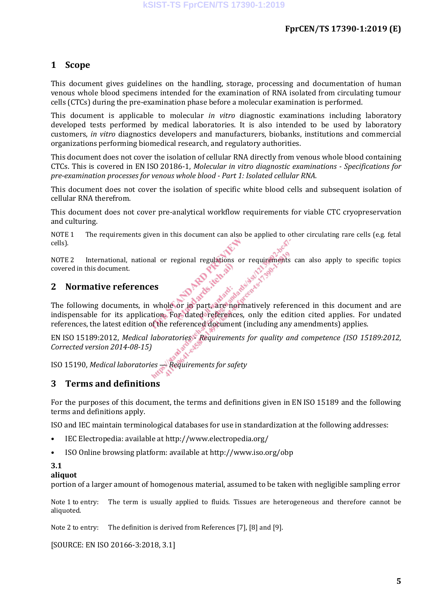## **1 Scope**

This document gives guidelines on the handling, storage, processing and documentation of human venous whole blood specimens intended for the examination of RNA isolated from circulating tumour cells (CTCs) during the pre-examination phase before a molecular examination is performed.

This document is applicable to molecular *in vitro* diagnostic examinations including laboratory developed tests performed by medical laboratories. It is also intended to be used by laboratory customers, *in vitro* diagnostics developers and manufacturers, biobanks, institutions and commercial organizations performing biomedical research, and regulatory authorities.

This document does not cover the isolation of cellular RNA directly from venous whole blood containing CTCs. This is covered in EN ISO 20186-1, *Molecular in vitro diagnostic examinations - Specifications for pre-examination processes for venous whole blood - Part 1: Isolated cellular RNA*.

This document does not cover the isolation of specific white blood cells and subsequent isolation of cellular RNA therefrom.

This document d[oes not cover pre-analytical workflow requirements for viab](���Hb����K{�@����Q��ǁ5�%��W��
ڷ�ԃ���&��C��W���ѣ%]�z�|wV�{����Ex����ر�T��)����0ѽ���� ���o����.)le CTC cryopreservation and culturing.

NOTE 1 The requirements given in this document can also be applied to other circulating rare cells (e.g. fetal cells).

NOTE 2 International, national or regional regulations or requirements can also apply to specific topics covered in this document. covered in this document.

### **2 Normative references**

The following documents, in whole or in part, are normatively referenced in this document and are indispensable for its application. For dated references, only the edition cited applies. For undated references, the latest edition of the referenced document (including any amendments) applies.

EN ISO 15189:2012, *Medical laboratories - Requirements for quality and competence (ISO 15189:2012, Corrected version 2014-08-15)*

ISO 15190, *Medical laboratories — Requirements for safety*

## **3 Terms and definitions**

For the purposes of this document, the terms and definitions given in EN ISO 15189 and the following terms and definitions apply.

ISO and IEC maintain terminological databases for use in standardization at the following addresses:

- IEC Electropedia: available at http://www.electropedia.org/
- ISO Online browsing platform: available at http://www.iso.org/obp

#### **3.1**

#### **aliquot**

portion of a larger amount of homogenous material, assumed to be taken with negligible sampling error

Note 1 to entry: The term is usually applied to fluids. Tissues are heterogeneous and therefore cannot be aliquoted.

Note 2 to entry: The definition is derived from References [7], [8] and [9].

[SOURCE: EN ISO 20166-3:2018, 3.1]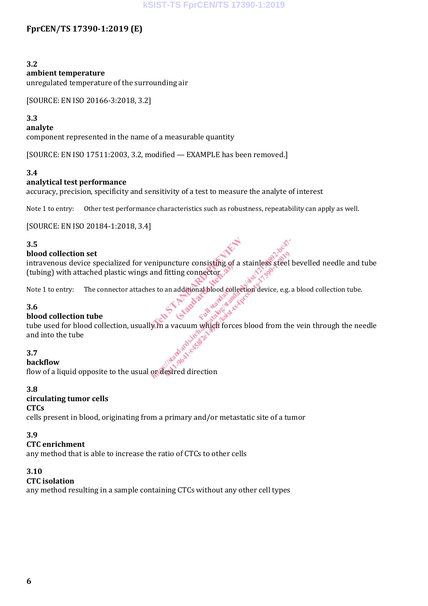## **FprCEN/TS 17390-1:2019 (E)**

#### **3.2**

#### **ambient temperature**

unregulated temperature of the surrounding air

[SOURCE: EN ISO 20166-3:2018, 3.2]

#### **3.3**

#### **analyte**

component represented in the name of a measurable quantity

[SOURCE: EN ISO 17511:2003, 3.2, modified — EXAMPLE has been removed.]

#### **3.4**

#### **analytical test performance**

accuracy, precision, specificity and sensitivity of a test to measure the analyte of interest

Note 1 to entry: Other test performance characteristics such as robustness, repeatability can apply as well.

[SOURCE: EN ISO 20184-1:2018, 3.4]

#### **3.5**

#### **blood collection set**

intravenous device speci[alized for venipuncture consisting of a stainless steel bevelled]($8m/�JO�e�������/�zy���%8֪F�́����cE�o3�8c/y�w�6���3�R2�Hh���&���	m<1�ʃub��5uz���X}���s��l��׬�1�Լ�) needle and tube (tubing) with attached plastic wings and fitting connector  $\mathbb{R}$ 

Note 1 to entry: The connector attaches to an additional blood collection device, e.g. a blood collection tube.

#### **3.6**

#### **blood collection tube**

tube used for blood collection, usually in a vacuum which forces blood from the vein through the needle and into the tube

#### **3.7**

**backflow**

**PASS** flow of a liquid opposite to the usual or desired direction

#### **3.8**

#### **circulating tumor cells**

#### **CTCs**

cells present in blood, originating from a primary and/or metastatic site of a tumor

#### **3.9**

#### **CTC enrichment**

any method that is able to increase the ratio of CTCs to other cells

#### **3.10**

#### **CTC isolation**

any method resulting in a sample containing CTCs without any other cell types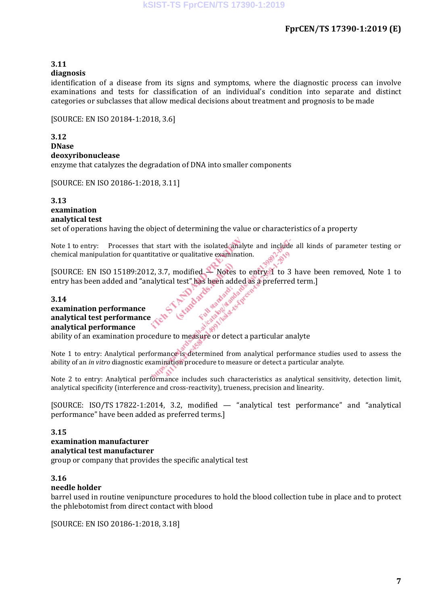#### **3.11**

#### **diagnosis**

identification of a disease from its signs and symptoms, where the diagnostic process can involve examinations and tests for classification of an individual's condition into separate and distinct categories or subclasses that allow medical decisions about treatment and prognosis to be made

[SOURCE: EN ISO 20184-1:2018, 3.6]

**3.12 DNase deoxyribonuclease** enzyme that catalyzes the degradation of DNA into smaller components

[SOURCE: EN ISO 20186-1:2018, 3.11]

## **3.13**

#### **examination analytical test**

set of operations [having the object of determining the value or characteristics o](�����I��R)f a property

Note 1 to entry: Processes that start with the isolated analyte and include all kinds of parameter testing or chemical manipulation for quantitative or qualitative examination.

[SOURCE: EN ISO 15189:2012, 3.7, modified — Notes to entry 1 to 3 have been removed, Note 1 to entry has been added and "analytical test" has been added as a preferred term.]

Ash Rep

#### **3.14**

## **examination performance analytical test performance analytical performance**

ability of an examination procedure to measure or detect a particular analyte

Note 1 to entry: Analytical performance is determined from analytical performance studies used to assess the ability of an *in vitro* diagnostic examination procedure to measure or detect a particular analyte.

Note 2 to entry: Analytical performance includes such characteristics as analytical sensitivity, detection limit, analytical specificity (interference and cross-reactivity), trueness, precision and linearity.

[SOURCE: ISO/TS 17822-1:2014, 3.2, modified — "analytical test performance" and "analytical performance" have been added as preferred terms.]

#### **3.15**

## **examination manufacturer**

**analytical test manufacturer**

group or company that provides the specific analytical test

#### **3.16**

#### **needle holder**

barrel used in routine venipuncture procedures to hold the blood collection tube in place and to protect the phlebotomist from direct contact with blood

[SOURCE: EN ISO 20186-1:2018, 3.18]